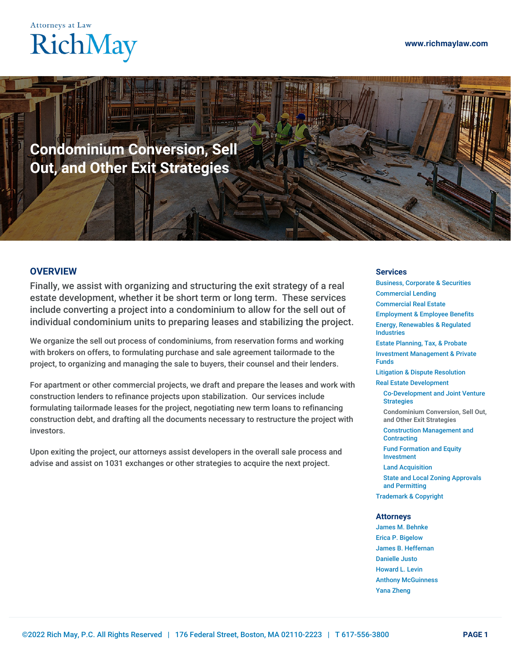## **Attorneys at Law** RichMay

**Condominium Conversion, Sell Out, and Other Exit Strategies**

## **OVERVIEW**

Finally, we assist with organizing and structuring the exit strategy of a real estate development, whether it be short term or long term. These services include converting a project into a condominium to allow for the sell out of individual condominium units to preparing leases and stabilizing the project.

We organize the sell out process of condominiums, from reservation forms and working with brokers on offers, to formulating purchase and sale agreement tailormade to the project, to organizing and managing the sale to buyers, their counsel and their lenders.

For apartment or other commercial projects, we draft and prepare the leases and work with construction lenders to refinance projects upon stabilization. Our services include formulating tailormade leases for the project, negotiating new term loans to refinancing construction debt, and drafting all the documents necessary to restructure the project with investors.

Upon exiting the project, our attorneys assist developers in the overall sale process and advise and assist on 1031 exchanges or other strategies to acquire the next project.

## **Services**

Business, [Corporate](https://www.richmaylaw.com/service/business-corporate-securities/) & Securities [Commercial](https://www.richmaylaw.com/service/lending-and-title-insurance/) Lending [Commercial](https://www.richmaylaw.com/service/real-estate/) Real Estate [Employment](https://www.richmaylaw.com/service/employment-employee-benefits/) & Employee Benefits Energy, [Renewables](https://www.richmaylaw.com/service/energy-renewables-regulated-industries/) & Regulated Industries Estate [Planning,](https://www.richmaylaw.com/service/estate-planning-tax-probate/) Tax, & Probate Investment [Management](https://www.richmaylaw.com/service/investment-management-private-funds/) & Private Funds Litigation & Dispute [Resolution](https://www.richmaylaw.com/service/litigation-dispute-resolution/) Real Estate [Development](https://www.richmaylaw.com/service/real-estate-development/) [Co-Development](https://www.richmaylaw.com/service/real-estate-development/co-development-and-joint-venture-strategies/) and Joint Venture Strategies **[Condominium](https://www.richmaylaw.com/service/real-estate-development/condominium-conversion-sell-out-and-other-exit-strategies/) Conversion, Sell Out, and Other Exit Strategies** Construction [Management](https://www.richmaylaw.com/service/real-estate-development/construction-management-and-contracting/) and **Contracting** Fund Formation and Equity [Investment](https://www.richmaylaw.com/service/real-estate-development/fund-formation-and-equity-investment/) Land [Acquisition](https://www.richmaylaw.com/service/real-estate-development/land-acquisition/) State and Local Zoning Approvals and [Permitting](https://www.richmaylaw.com/service/real-estate-development/state-and-local-zoning-approvals-and-permitting/) [Trademark](https://www.richmaylaw.com/service/trademark-copyright/) & Copyright **Attorneys** James M. [Behnke](https://www.richmaylaw.com/bio/james-m-behnke/) Erica P. [Bigelow](https://www.richmaylaw.com/bio/erica-p-bigelow/)

James B. [Heffernan](https://www.richmaylaw.com/bio/james-b-heffernan/) [Danielle](https://www.richmaylaw.com/bio/danielle-justo/) Justo [Howard](https://www.richmaylaw.com/bio/howard-l-levin/) L. Levin Anthony [McGuinness](https://www.richmaylaw.com/bio/anthony-mcguinness/) Yana [Zheng](https://www.richmaylaw.com/bio/yana-zheng/)